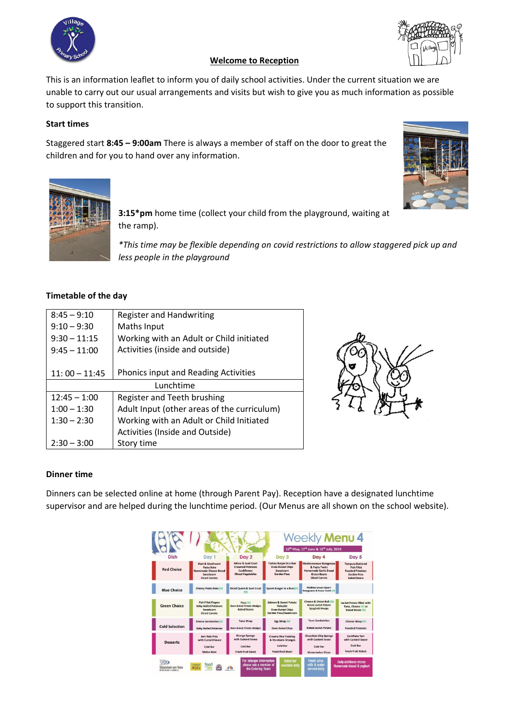



# **Welcome to Reception**

This is an information leaflet to inform you of daily school activities. Under the current situation we are unable to carry out our usual arrangements and visits but wish to give you as much information as possible to support this transition.

## **Start times**

Staggered start **8:45 – 9:00am** There is always a member of staff on the door to great the children and for you to hand over any information.





**3:15\*pm** home time (collect your child from the playground, waiting at the ramp).

*\*This time may be flexible depending on covid restrictions to allow staggered pick up and less people in the playground*

## **Timetable of the day**

| $8:45 - 9:10$   | <b>Register and Handwriting</b>             |  |  |  |  |
|-----------------|---------------------------------------------|--|--|--|--|
| $9:10 - 9:30$   | Maths Input                                 |  |  |  |  |
| $9:30 - 11:15$  | Working with an Adult or Child initiated    |  |  |  |  |
| $9:45 - 11:00$  | Activities (inside and outside)             |  |  |  |  |
|                 |                                             |  |  |  |  |
| $11:00 - 11:45$ | <b>Phonics input and Reading Activities</b> |  |  |  |  |
| Lunchtime       |                                             |  |  |  |  |
| $12:45 - 1:00$  | Register and Teeth brushing                 |  |  |  |  |
| $1:00 - 1:30$   | Adult Input (other areas of the curriculum) |  |  |  |  |
| $1:30 - 2:30$   | Working with an Adult or Child Initiated    |  |  |  |  |
|                 |                                             |  |  |  |  |
|                 | Activities (Inside and Outside)             |  |  |  |  |



## **Dinner time**

Dinners can be selected online at home (through Parent Pay). Reception have a designated lunchtime supervisor and are helped during the lunchtime period. (Our Menus are all shown on the school website).

|                       |                                                                                                   |                                                                                         | 13 <sup>th</sup> May, 17 <sup>th</sup> June & 15 <sup>th</sup> July, 2019                        |                                                                                                                          |                                                                                                                      |
|-----------------------|---------------------------------------------------------------------------------------------------|-----------------------------------------------------------------------------------------|--------------------------------------------------------------------------------------------------|--------------------------------------------------------------------------------------------------------------------------|----------------------------------------------------------------------------------------------------------------------|
| Dish                  | Day 1                                                                                             | Day 2                                                                                   | Day 3                                                                                            | Day 4                                                                                                                    | Day 5                                                                                                                |
| <b>Red Choice</b>     | Ham & Mushroom<br>Pasta Bake<br><b>Homemade Cheese Bread</b><br>Sweetcorn<br><b>Diced Carrots</b> | Mince & Suet Crust<br><b>Creamed Potatoes</b><br>Cauliflower<br><b>Mixed Vegetables</b> | <b>Turkey Burger in a Bun</b><br><b>Oven Baked Chips</b><br>Sweetcorn<br><b>Garden Peas</b>      | Mediterranean Bolognaise<br>& Pasta Twirls<br><b>Homemade Garlic Bread</b><br><b>Green Beans</b><br><b>Diced Carrots</b> | <b>Tempura Battered</b><br><b>Fish Fillet</b><br><b>Roasted Potatoes</b><br><b>Garden Peas</b><br><b>Baked Beans</b> |
| <b>Blue Choice</b>    | Cheesy Pasta Bake (V)                                                                             | <b>Diced Quorn &amp; Suet Crust</b>                                                     | Quorn Burger in a Bun (V)                                                                        | Mediterranean Quorn<br><b>Bolognaise &amp; Pasta Twirls (V)</b>                                                          |                                                                                                                      |
| <b>Green Choice</b>   | <b>Fish Fillet Fingers</b><br><b>Baby Boiled Potatoes</b><br>Sweetcorn<br><b>Diced Carrots</b>    | Pizza (V)<br><b>Oyen Baked Potato Wedges</b><br><b>Baked Beans</b>                      | <b>Salmon &amp; Sweet Potato</b><br>Fishcake<br><b>Oven Baked Chips</b><br>Garden Peas/Sweetcorn | Cheese & Onion Roll (V)<br><b>Raked Jacket Potato</b><br>Spaghetti Hoops                                                 | <b>Jacket Potato filled with</b><br>Tuna, Cheese (V) or<br><b>Baked Beans (V)</b>                                    |
| <b>Cold Selection</b> | <b>Cheese Sandwiches (V)</b><br><b>Baby Boiled Potatoes</b>                                       | <b>Tuna Wrap</b><br>Oven Baked Potato Wedges                                            | Egg Wrap (V)<br><b>Oven Baked Chips</b>                                                          | <b>Tuna Sandwiches</b><br><b>Baked Jacket Potato</b>                                                                     | Cheese Wrap (V)<br><b>Roasted Potatoes</b>                                                                           |
| <b>Desserts</b>       | Jam Roly Poly<br>with Custard Sauce<br>Cold Bar<br><b>Melon Boat</b>                              | <b>Orange Sponge</b><br>with Custard Sauce<br>Cold Bar<br>Fresh Fruit Salad             | <b>Creamy Rice Pudding</b><br>& Mandarin Oranges<br>Cold Bar<br><b>Fresh Fruit Bowl</b>          | <b>Chocolate Chip Sponge</b><br>with Custard Sauce<br>Cold Bar<br><b>Watermelon Slices</b>                               | <b>Cornflake Tart</b><br>with Custard Sauce<br>Cold Bar<br><b>Fresh Fruit Kebab</b>                                  |